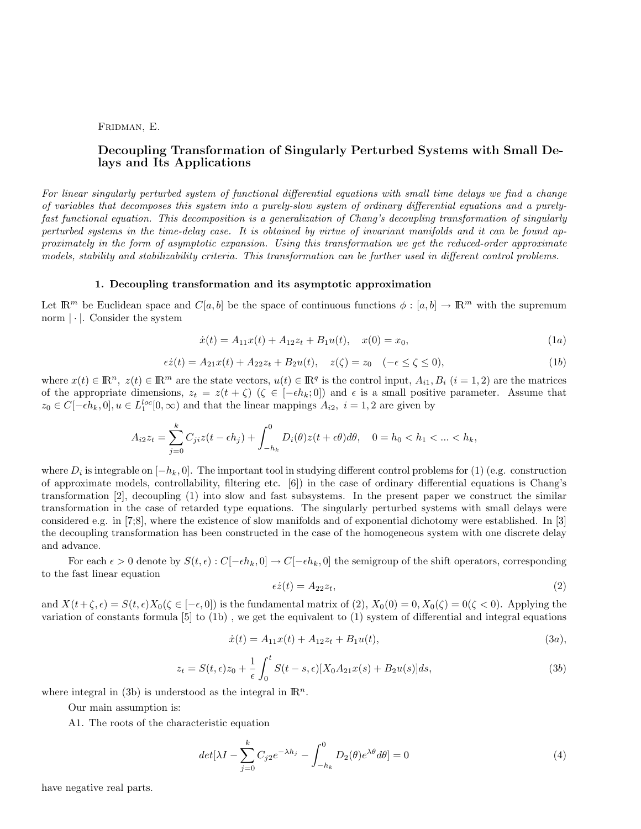## FRIDMAN, E.

# Decoupling Transformation of Singularly Perturbed Systems with Small Delays and Its Applications

For linear singularly perturbed system of functional differential equations with small time delays we find a change of variables that decomposes this system into a purely-slow system of ordinary differential equations and a purelyfast functional equation. This decomposition is a generalization of Chang's decoupling transformation of singularly perturbed systems in the time-delay case. It is obtained by virtue of invariant manifolds and it can be found approximately in the form of asymptotic expansion. Using this transformation we get the reduced-order approximate models, stability and stabilizability criteria. This transformation can be further used in different control problems.

### 1. Decoupling transformation and its asymptotic approximation

Let  $\mathbb{R}^m$  be Euclidean space and  $C[a, b]$  be the space of continuous functions  $\phi : [a, b] \to \mathbb{R}^m$  with the supremum norm  $|\cdot|$ . Consider the system

$$
\dot{x}(t) = A_{11}x(t) + A_{12}z_t + B_1u(t), \quad x(0) = x_0,\tag{1a}
$$

$$
\epsilon \dot{z}(t) = A_{21}x(t) + A_{22}z_t + B_2u(t), \quad z(\zeta) = z_0 \quad (-\epsilon \le \zeta \le 0), \tag{1b}
$$

where  $x(t) \in \mathbb{R}^n$ ,  $z(t) \in \mathbb{R}^m$  are the state vectors,  $u(t) \in \mathbb{R}^q$  is the control input,  $A_{i1}$ ,  $B_i$   $(i = 1, 2)$  are the matrices of the appropriate dimensions,  $z_t = z(t + \zeta)$  ( $\zeta \in [-\epsilon h_k; 0]$ ) and  $\epsilon$  is a small positive parameter. Assume that  $z_0 \in C[-\epsilon h_k, 0], u \in L_1^{loc}[0, \infty)$  and that the linear mappings  $A_{i2}$ ,  $i = 1, 2$  are given by

$$
A_{i2}z_t=\sum_{j=0}^kC_{ji}z(t-\epsilon h_j)+\int_{-h_k}^0D_i(\theta)z(t+\epsilon\theta)d\theta,\quad 0=h_0
$$

where  $D_i$  is integrable on  $[-h_k, 0]$ . The important tool in studying different control problems for (1) (e.g. construction of approximate models, controllability, filtering etc. [6]) in the case of ordinary differential equations is Chang's transformation [2], decoupling (1) into slow and fast subsystems. In the present paper we construct the similar transformation in the case of retarded type equations. The singularly perturbed systems with small delays were considered e.g. in [7;8], where the existence of slow manifolds and of exponential dichotomy were established. In [3] the decoupling transformation has been constructed in the case of the homogeneous system with one discrete delay and advance.

For each  $\epsilon > 0$  denote by  $S(t, \epsilon) : C[-\epsilon h_k, 0] \to C[-\epsilon h_k, 0]$  the semigroup of the shift operators, corresponding to the fast linear equation

$$
\epsilon \dot{z}(t) = A_{22} z_t,\tag{2}
$$

and  $X(t+\zeta,\epsilon) = S(t,\epsilon)X_0(\zeta \in [-\epsilon,0])$  is the fundamental matrix of  $(2), X_0(0) = 0, X_0(\zeta) = 0(\zeta < 0)$ . Applying the variation of constants formula [5] to (1b) , we get the equivalent to (1) system of differential and integral equations

$$
\dot{x}(t) = A_{11}x(t) + A_{12}z_t + B_1u(t),\tag{3a}
$$

$$
z_t = S(t, \epsilon)z_0 + \frac{1}{\epsilon} \int_0^t S(t - s, \epsilon) [X_0 A_{21} x(s) + B_2 u(s)] ds,
$$
\n(3b)

where integral in (3b) is understood as the integral in  $\mathbb{R}^n$ .

Our main assumption is:

A1. The roots of the characteristic equation

$$
det[\lambda I - \sum_{j=0}^{k} C_{j2}e^{-\lambda h_j} - \int_{-h_k}^{0} D_2(\theta)e^{\lambda \theta} d\theta] = 0
$$
\n(4)

have negative real parts.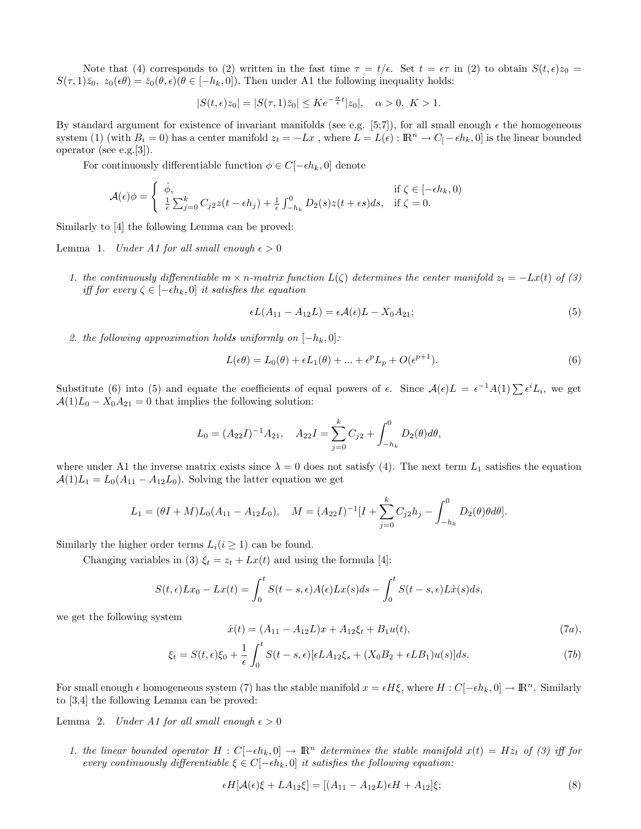Note that (4) corresponds to (2) written in the fast time  $\tau = t/\epsilon$ . Set  $t = \epsilon \tau$  in (2) to obtain  $S(t, \epsilon)z_0 =$  $S(\tau,1)\bar{z}_0$ ,  $z_0(\epsilon\theta) = \bar{z}_0(\theta,\epsilon)(\theta \in [-h_k,0])$ . Then under A1 the following inequality holds:

$$
|S(t,\epsilon)z_0|=|S(\tau,1)\bar{z}_0|\leq Ke^{-\frac{\alpha}{\epsilon}t}|z_0|,\quad \alpha>0,\ K>1.
$$

By standard argument for existence of invariant manifolds (see e.g. [5;7]), for all small enough  $\epsilon$  the homogeneous system (1) (with  $B_i = 0$ ) has a center manifold  $z_t = -Lx$ , where  $L = L(\epsilon) : \mathbb{R}^n \to C_{\lceil} - \epsilon h_k, 0$  is the linear bounded operator (see e.g.[3]).

For continuously differentiable function  $\phi \in C[-\epsilon h_k, 0]$  denote

$$
\mathcal{A}(\epsilon)\phi = \begin{cases} \dot{\phi}, & \text{if } \zeta \in [-\epsilon h_k, 0) \\ \frac{1}{\epsilon} \sum_{j=0}^k C_{j2} z(t - \epsilon h_j) + \frac{1}{\epsilon} \int_{-h_k}^0 D_2(s) z(t + \epsilon s) ds, & \text{if } \zeta = 0. \end{cases}
$$

Similarly to [4] the following Lemma can be proved:

Lemma 1. Under A1 for all small enough  $\epsilon > 0$ 

1. the continuously differentiable  $m \times n$ -matrix function  $L(\zeta)$  determines the center manifold  $z_t = -Lx(t)$  of (3) iff for every  $\zeta \in [-\epsilon h_k, 0]$  it satisfies the equation

$$
\epsilon L(A_{11} - A_{12}L) = \epsilon \mathcal{A}(\epsilon)L - X_0A_{21};\tag{5}
$$

2. the following approximation holds uniformly on  $[-h_k, 0]$ :

$$
L(\epsilon \theta) = L_0(\theta) + \epsilon L_1(\theta) + \dots + \epsilon^p L_p + O(\epsilon^{p+1}).
$$
\n(6)

Substitute (6) into (5) and equate the coefficients of equal powers of  $\epsilon$ . Since  $\mathcal{A}(\epsilon)L = \epsilon^{-1}A(1)\sum \epsilon^i L_i$ , we get  $A(1)L_0 - X_0A_{21} = 0$  that implies the following solution:

$$
L_0 = (A_{22}I)^{-1}A_{21}, \quad A_{22}I = \sum_{j=0}^k C_{j2} + \int_{-h_k}^0 D_2(\theta)d\theta,
$$

where under A1 the inverse matrix exists since  $\lambda = 0$  does not satisfy (4). The next term  $L_1$  satisfies the equation  $\mathcal{A}(1)L_1 = L_0(A_{11} - A_{12}L_0)$ . Solving the latter equation we get

$$
L_1 = (\theta I + M)L_0(A_{11} - A_{12}L_0), \quad M = (A_{22}I)^{-1}[I + \sum_{j=0}^k C_{j2}h_j - \int_{-h_k}^0 D_2(\theta)\theta d\theta].
$$

Similarly the higher order terms  $L_i(i \geq 1)$  can be found.

Changing variables in (3)  $\xi_t = z_t + Lx(t)$  and using the formula [4]:

$$
S(t,\epsilon)Lx_0-Lx(t) = \int_0^t S(t-s,\epsilon)A(\epsilon)Lx(s)ds - \int_0^t S(t-s,\epsilon)L\dot{x}(s)ds,
$$

we get the following system

$$
\dot{x}(t) = (A_{11} - A_{12}L)x + A_{12}\xi_t + B_1u(t),
$$
\n(7*a*),

$$
\xi_t = S(t,\epsilon)\xi_0 + \frac{1}{\epsilon} \int_0^t S(t-s,\epsilon)[\epsilon LA_{12}\xi_s + (X_0B_2 + \epsilon LB_1)u(s)]ds.
$$
 (7b)

For small enough  $\epsilon$  homogeneous system (7) has the stable manifold  $x = \epsilon H \xi$ , where  $H : C[-\epsilon h_k, 0] \to \mathbb{R}^n$ . Similarly to [3,4] the following Lemma can be proved:

Lemma 2. Under A1 for all small enough  $\epsilon > 0$ 

1. the linear bounded operator  $H: C[-\epsilon h_k, 0] \to \mathbb{R}^n$  determines the stable manifold  $x(t) = Hz_t$  of (3) iff for every continuously differentiable  $\xi \in C[-\epsilon h_k, 0]$  it satisfies the following equation:

$$
\epsilon H[\mathcal{A}(\epsilon)\xi + LA_{12}\xi] = [(A_{11} - A_{12}L)\epsilon H + A_{12}]\xi; \tag{8}
$$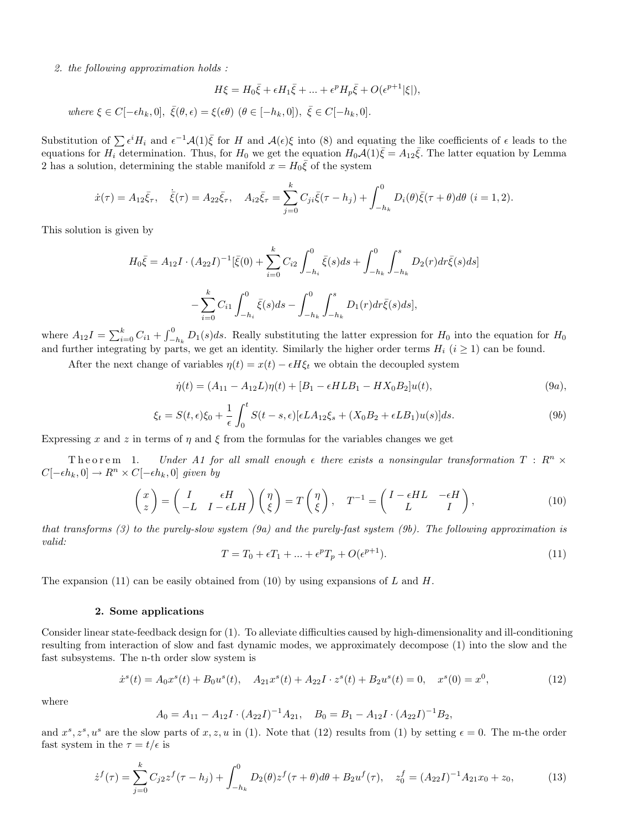2. the following approximation holds :

$$
H\xi = H_0\bar{\xi} + \epsilon H_1\bar{\xi} + \dots + \epsilon^p H_p\bar{\xi} + O(\epsilon^{p+1}|\xi|),
$$

where  $\xi \in C[-\epsilon h_k, 0], \ \bar{\xi}(\theta, \epsilon) = \xi(\epsilon \theta) \ (\theta \in [-h_k, 0]), \ \bar{\xi} \in C[-h_k, 0].$ 

Substitution of  $\sum \epsilon^i H_i$  and  $\epsilon^{-1} \mathcal{A}(1) \bar{\xi}$  for H and  $\mathcal{A}(\epsilon) \xi$  into (8) and equating the like coefficients of  $\epsilon$  leads to the equations for  $H_i$  determination. Thus, for  $H_0$  we get the equation  $H_0\mathcal{A}(1)\overline{\xi} = A_{12}\overline{\xi}$ . The latter equation by Lemma 2 has a solution, determining the stable manifold  $x = H_0 \bar{\xi}$  of the system

$$
\dot{x}(\tau) = A_{12}\bar{\xi}_{\tau}, \quad \dot{\bar{\xi}}(\tau) = A_{22}\bar{\xi}_{\tau}, \quad A_{i2}\bar{\xi}_{\tau} = \sum_{j=0}^{k} C_{ji}\bar{\xi}(\tau - h_j) + \int_{-h_k}^{0} D_i(\theta)\bar{\xi}(\tau + \theta)d\theta \ (i = 1, 2).
$$

This solution is given by

$$
H_0\bar{\xi} = A_{12}I \cdot (A_{22}I)^{-1}[\bar{\xi}(0) + \sum_{i=0}^k C_{i2} \int_{-h_i}^0 \bar{\xi}(s)ds + \int_{-h_k}^0 \int_{-h_k}^s D_2(r)dr\bar{\xi}(s)ds]
$$

$$
- \sum_{i=0}^k C_{i1} \int_{-h_i}^0 \bar{\xi}(s)ds - \int_{-h_k}^0 \int_{-h_k}^s D_1(r)dr\bar{\xi}(s)ds],
$$

where  $A_{12}I = \sum_{i=0}^{k} C_{i1} +$  $r<sup>0</sup>$  $-\frac{1}{2}h_k D_1(s)ds$ . Really substituting the latter expression for  $H_0$  into the equation for  $H_0$ and further integrating by parts, we get an identity. Similarly the higher order terms  $H_i$  ( $i \geq 1$ ) can be found.

After the next change of variables  $\eta(t) = x(t) - \epsilon H \xi_t$  we obtain the decoupled system

$$
\dot{\eta}(t) = (A_{11} - A_{12}L)\eta(t) + [B_1 - \epsilon H L B_1 - H X_0 B_2]u(t),
$$
\n(9*a*),

$$
\xi_t = S(t,\epsilon)\xi_0 + \frac{1}{\epsilon} \int_0^t S(t-s,\epsilon)[\epsilon LA_{12}\xi_s + (X_0B_2 + \epsilon LB_1)u(s)]ds.
$$
\n(9b)

Expressing x and z in terms of  $\eta$  and  $\xi$  from the formulas for the variables changes we get

Theorem 1. Under A1 for all small enough  $\epsilon$  there exists a nonsingular transformation  $T: \mathbb{R}^n \times$  $C[-\epsilon h_k, 0] \to R^n \times C[-\epsilon h_k, 0]$  given by

$$
\begin{pmatrix} x \\ z \end{pmatrix} = \begin{pmatrix} I & \epsilon H \\ -L & I - \epsilon LH \end{pmatrix} \begin{pmatrix} \eta \\ \xi \end{pmatrix} = T \begin{pmatrix} \eta \\ \xi \end{pmatrix}, \quad T^{-1} = \begin{pmatrix} I - \epsilon HL & -\epsilon H \\ L & I \end{pmatrix}, \tag{10}
$$

that transforms  $(3)$  to the purely-slow system  $(9a)$  and the purely-fast system  $(9b)$ . The following approximation is valid:

$$
T = T_0 + \epsilon T_1 + \dots + \epsilon^p T_p + O(\epsilon^{p+1}).\tag{11}
$$

The expansion (11) can be easily obtained from (10) by using expansions of  $L$  and  $H$ .

# 2. Some applications

Consider linear state-feedback design for (1). To alleviate difficulties caused by high-dimensionality and ill-conditioning resulting from interaction of slow and fast dynamic modes, we approximately decompose (1) into the slow and the fast subsystems. The n-th order slow system is

$$
\dot{x}^s(t) = A_0 x^s(t) + B_0 u^s(t), \quad A_{21} x^s(t) + A_{22} I \cdot z^s(t) + B_2 u^s(t) = 0, \quad x^s(0) = x^0,
$$
\n(12)

where

$$
A_0 = A_{11} - A_{12}I \cdot (A_{22}I)^{-1}A_{21}, \quad B_0 = B_1 - A_{12}I \cdot (A_{22}I)^{-1}B_2,
$$

and  $x^s, z^s, u^s$  are the slow parts of  $x, z, u$  in (1). Note that (12) results from (1) by setting  $\epsilon = 0$ . The m-the order fast system in the  $\tau = t/\epsilon$  is

$$
\dot{z}^f(\tau) = \sum_{j=0}^k C_{j2} z^f(\tau - h_j) + \int_{-h_k}^0 D_2(\theta) z^f(\tau + \theta) d\theta + B_2 u^f(\tau), \quad z_0^f = (A_{22}I)^{-1} A_{21} x_0 + z_0,
$$
\n(13)